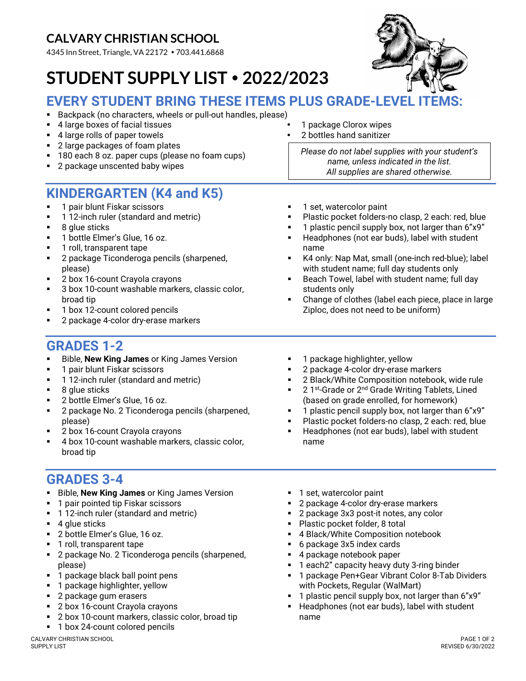# CALVARY CHRISTIAN SCHOOL

4345 Inn Street, Triangle, VA 22172 • 703.441.6868

# STUDENT SUPPLY LIST 2022/2023



#### EVERY STUDENT BRING THESE ITEMS PLUS GRADE-LEVEL

- Backpack (no characters, wheels or pull-out handles, please)
- 4 large boxes of facial tissues 1 package Clorox wipes
- $\blacksquare$  4 large rolls of paper towels
- 2 large packages of foam plates
- <sup>1</sup> 180 each 8 oz. paper cups (please no foam cups)
- 2 package unscented baby wipes

## KINDERGARTEN (K4 and K5)

- **1 pair blunt Fiskar scissors**
- 1 12-inch ruler (standard and metric)
- 8 glue sticks
- 1 bottle Elmer's Glue, 16 oz.
- 1 roll, transparent tape
- 2 package Ticonderoga pencils (sharpened, please)
- 2 box 16-count Crayola crayons
- 3 box 10-count washable markers, classic color, broad tip
- 1 box 12-count colored pencils
- 2 package 4-color dry-erase markers

## GRADES 1-2

- Bible, New King James or King James Version
- **1 pair blunt Fiskar scissors**
- **112-inch ruler (standard and metric)**
- 8 glue sticks
- 2 bottle Elmer's Glue, 16 oz.
- 2 package No. 2 Ticonderoga pencils (sharpened, please)
- 2 box 16-count Crayola crayons
- 4 box 10-count washable markers, classic color, broad tip

#### GRADES 3-4

- Bible, New King James or King James Version
- 1 pair pointed tip Fiskar scissors
- 1 12-inch ruler (standard and metric)
- $\blacksquare$  4 glue sticks
- 2 bottle Elmer's Glue, 16 oz.
- **1** roll, transparent tape
- 2 package No. 2 Ticonderoga pencils (sharpened, please)
- 1 package black ball point pens
- 1 package highlighter, yellow
- 2 package gum erasers
- 2 box 16-count Crayola crayons
- 2 box 10-count markers, classic color, broad tip
- 1 box 24-count colored pencils
- 
- 

Please do not label supplies with your student's name, unless indicated in the list. All supplies are shared otherwise.

- 1 set, watercolor paint
- Plastic pocket folders-no clasp, 2 each: red, blue
- 1 plastic pencil supply box, not larger than 6"x9"
- **Headphones (not ear buds), label with student** name
- K4 only: Nap Mat, small (one-inch red-blue); label with student name; full day students only
- Beach Towel, label with student name; full day students only
- Change of clothes (label each piece, place in large Ziploc, does not need to be uniform)
- 1 package highlighter, yellow
- 2 package 4-color dry-erase markers
- 2 Black/White Composition notebook, wide rule
- 2 1<sup>st</sup>-Grade or 2<sup>nd</sup> Grade Writing Tablets, Lined (based on grade enrolled, for homework)
- 1 plastic pencil supply box, not larger than 6"x9"
- Plastic pocket folders-no clasp, 2 each: red, blue
- Headphones (not ear buds), label with student name
- 1 set, watercolor paint
- 2 package 4-color dry-erase markers
- 2 package 3x3 post-it notes, any color
- **Plastic pocket folder, 8 total**
- 4 Black/White Composition notebook
- 6 package 3x5 index cards
- 4 package notebook paper
- 1 each2" capacity heavy duty 3-ring binder
- 1 package Pen+Gear Vibrant Color 8-Tab Dividers with Pockets, Regular (WalMart)
- 1 plastic pencil supply box, not larger than 6"x9"
- Headphones (not ear buds), label with student name